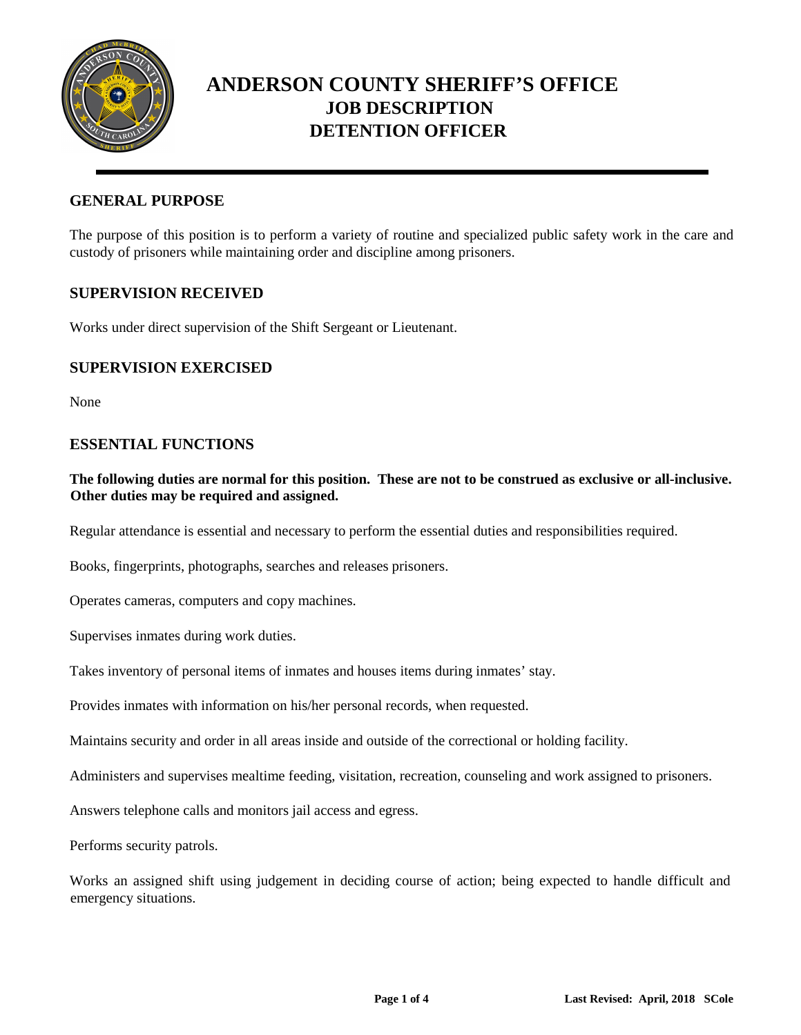

### **GENERAL PURPOSE**

The purpose of this position is to perform a variety of routine and specialized public safety work in the care and custody of prisoners while maintaining order and discipline among prisoners.

### **SUPERVISION RECEIVED**

Works under direct supervision of the Shift Sergeant or Lieutenant.

### **SUPERVISION EXERCISED**

None

### **ESSENTIAL FUNCTIONS**

#### **The following duties are normal for this position. These are not to be construed as exclusive or all-inclusive. Other duties may be required and assigned.**

Regular attendance is essential and necessary to perform the essential duties and responsibilities required.

Books, fingerprints, photographs, searches and releases prisoners.

Operates cameras, computers and copy machines.

Supervises inmates during work duties.

Takes inventory of personal items of inmates and houses items during inmates' stay.

Provides inmates with information on his/her personal records, when requested.

Maintains security and order in all areas inside and outside of the correctional or holding facility.

Administers and supervises mealtime feeding, visitation, recreation, counseling and work assigned to prisoners.

Answers telephone calls and monitors jail access and egress.

Performs security patrols.

Works an assigned shift using judgement in deciding course of action; being expected to handle difficult and emergency situations.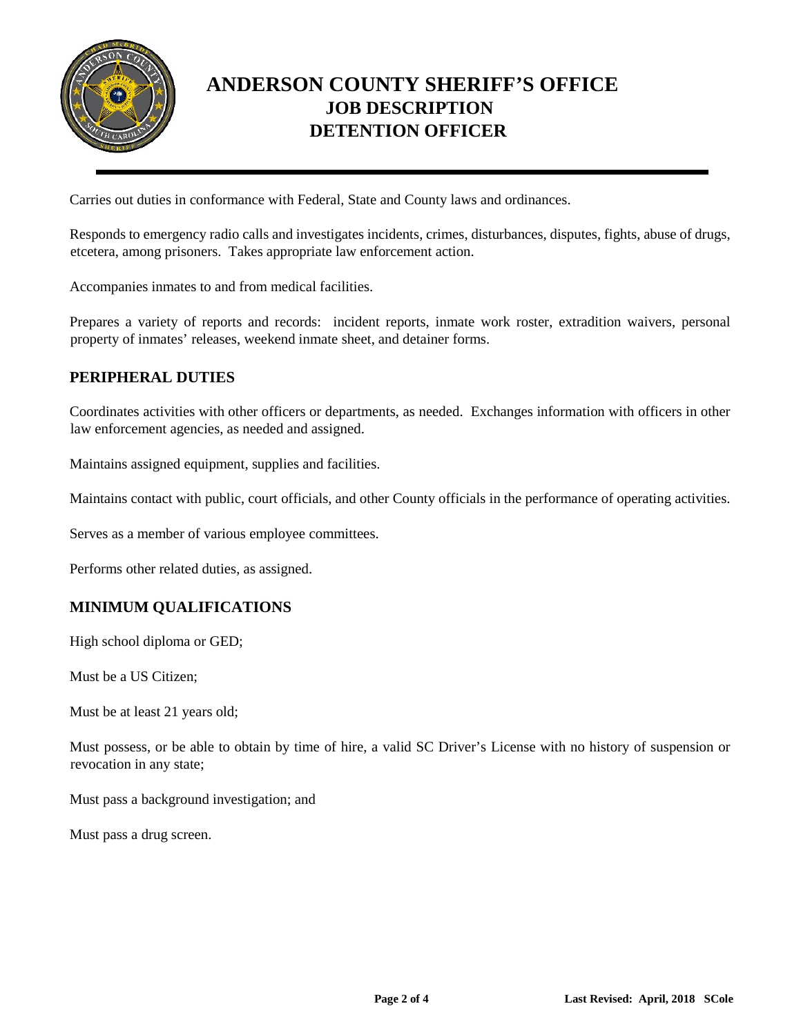

Carries out duties in conformance with Federal, State and County laws and ordinances.

Responds to emergency radio calls and investigates incidents, crimes, disturbances, disputes, fights, abuse of drugs, etcetera, among prisoners. Takes appropriate law enforcement action.

Accompanies inmates to and from medical facilities.

Prepares a variety of reports and records: incident reports, inmate work roster, extradition waivers, personal property of inmates' releases, weekend inmate sheet, and detainer forms.

## **PERIPHERAL DUTIES**

Coordinates activities with other officers or departments, as needed. Exchanges information with officers in other law enforcement agencies, as needed and assigned.

Maintains assigned equipment, supplies and facilities.

Maintains contact with public, court officials, and other County officials in the performance of operating activities.

Serves as a member of various employee committees.

Performs other related duties, as assigned.

### **MINIMUM QUALIFICATIONS**

High school diploma or GED;

Must be a US Citizen;

Must be at least 21 years old;

Must possess, or be able to obtain by time of hire, a valid SC Driver's License with no history of suspension or revocation in any state;

Must pass a background investigation; and

Must pass a drug screen.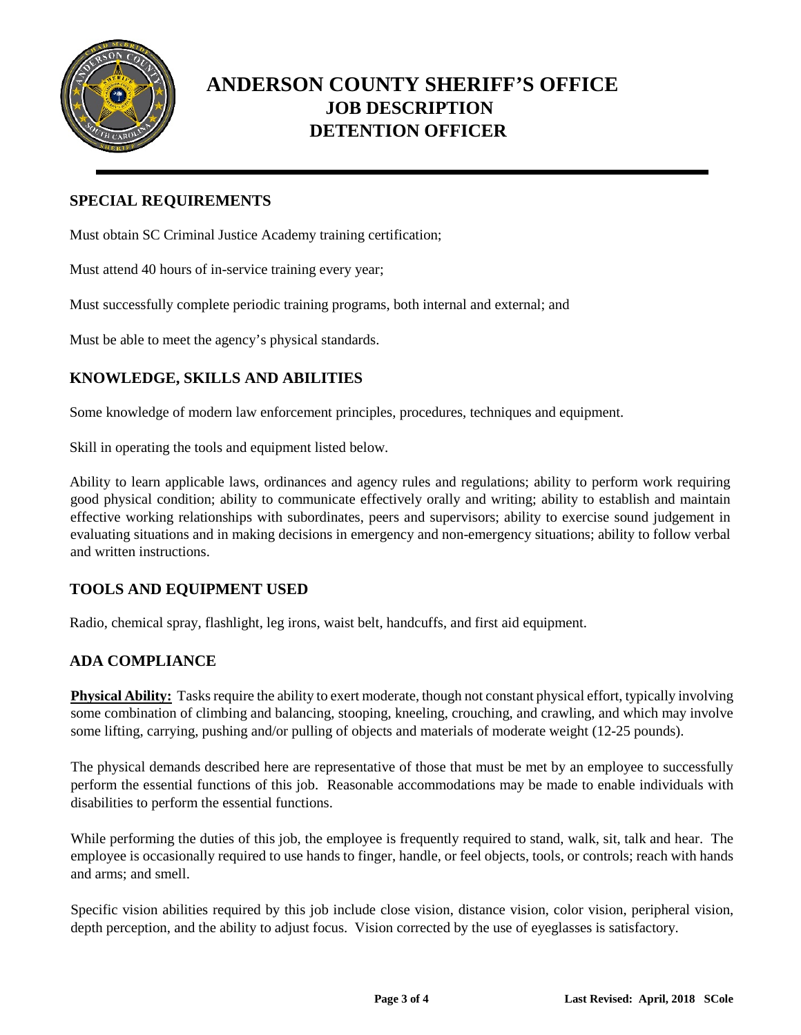

## **SPECIAL REQUIREMENTS**

Must obtain SC Criminal Justice Academy training certification;

Must attend 40 hours of in-service training every year;

Must successfully complete periodic training programs, both internal and external; and

Must be able to meet the agency's physical standards.

## **KNOWLEDGE, SKILLS AND ABILITIES**

Some knowledge of modern law enforcement principles, procedures, techniques and equipment.

Skill in operating the tools and equipment listed below.

Ability to learn applicable laws, ordinances and agency rules and regulations; ability to perform work requiring good physical condition; ability to communicate effectively orally and writing; ability to establish and maintain effective working relationships with subordinates, peers and supervisors; ability to exercise sound judgement in evaluating situations and in making decisions in emergency and non-emergency situations; ability to follow verbal and written instructions.

### **TOOLS AND EQUIPMENT USED**

Radio, chemical spray, flashlight, leg irons, waist belt, handcuffs, and first aid equipment.

## **ADA COMPLIANCE**

**Physical Ability:** Tasks require the ability to exert moderate, though not constant physical effort, typically involving some combination of climbing and balancing, stooping, kneeling, crouching, and crawling, and which may involve some lifting, carrying, pushing and/or pulling of objects and materials of moderate weight (12-25 pounds).

The physical demands described here are representative of those that must be met by an employee to successfully perform the essential functions of this job. Reasonable accommodations may be made to enable individuals with disabilities to perform the essential functions.

While performing the duties of this job, the employee is frequently required to stand, walk, sit, talk and hear. The employee is occasionally required to use hands to finger, handle, or feel objects, tools, or controls; reach with hands and arms; and smell.

Specific vision abilities required by this job include close vision, distance vision, color vision, peripheral vision, depth perception, and the ability to adjust focus. Vision corrected by the use of eyeglasses is satisfactory.